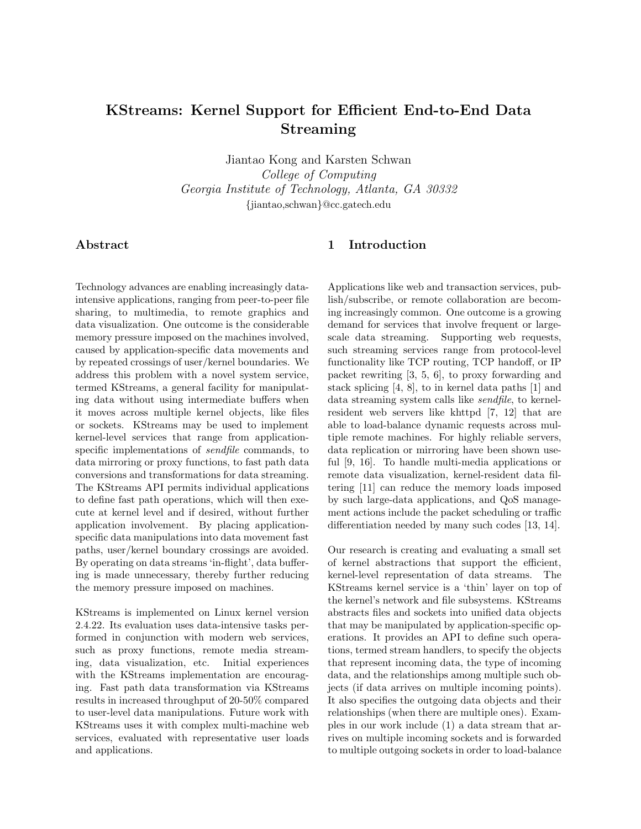# **KStreams: Kernel Support for Efficient End-to-End Data Streaming**

Jiantao Kong and Karsten Schwan *College of Computing*<br>*Georgia Institute of Technology, Atlanta, GA 30332 Georgia Institute of Technology, Atlanta, GA 30332 {*jiantao,schwan*}*@cc.gatech.edu

## **Abstract**

Technology advances are enabling increasingly dataintensive applications, ranging from peer-to-peer file sharing, to multimedia, to remote graphics and data visualization. One outcome is the considerable memory pressure imposed on the machines involved, caused by application-specific data movements and by repeated crossings of user/kernel boundaries. We address this problem with a novel system service, termed KStreams, a general facility for manipulating data without using intermediate buffers when it moves across multiple kernel objects, like files or sockets. KStreams may be used to implement kernel-level services that range from applicationspecific implementations of *sendfile* commands, to data mirroring or proxy functions, to fast path data conversions and transformations for data streaming. The KStreams API permits individual applications to define fast path operations, which will then execute at kernel level and if desired, without further application involvement. By placing applicationspecific data manipulations into data movement fast paths, user/kernel boundary crossings are avoided. By operating on data streams 'in-flight', data buffering is made unnecessary, thereby further reducing the memory pressure imposed on machines.

KStreams is implemented on Linux kernel version 2.4.22. Its evaluation uses data-intensive tasks performed in conjunction with modern web services, such as proxy functions, remote media streaming, data visualization, etc. Initial experiences with the KStreams implementation are encouraging. Fast path data transformation via KStreams results in increased throughput of 20-50% compared to user-level data manipulations. Future work with KStreams uses it with complex multi-machine web services, evaluated with representative user loads and applications.

# **1 Introduction**

Applications like web and transaction services, publish/subscribe, or remote collaboration are becoming increasingly common. One outcome is a growing demand for services that involve frequent or largescale data streaming. Supporting web requests, such streaming services range from protocol-level functionality like TCP routing, TCP handoff, or IP packet rewriting [3, 5, 6], to proxy forwarding and stack splicing [4, 8], to in kernel data paths [1] and data streaming system calls like *sendfile*, to kernelresident web servers like khttpd [7, 12] that are able to load-balance dynamic requests across multiple remote machines. For highly reliable servers, data replication or mirroring have been shown useful [9, 16]. To handle multi-media applications or remote data visualization, kernel-resident data filtering [11] can reduce the memory loads imposed by such large-data applications, and QoS management actions include the packet scheduling or traffic differentiation needed by many such codes [13, 14].

Our research is creating and evaluating a small set of kernel abstractions that support the efficient, kernel-level representation of data streams. The KStreams kernel service is a 'thin' layer on top of the kernel's network and file subsystems. KStreams abstracts files and sockets into unified data objects that may be manipulated by application-specific operations. It provides an API to define such operations, termed stream handlers, to specify the objects that represent incoming data, the type of incoming data, and the relationships among multiple such objects (if data arrives on multiple incoming points). It also specifies the outgoing data objects and their relationships (when there are multiple ones). Examples in our work include (1) a data stream that arrives on multiple incoming sockets and is forwarded to multiple outgoing sockets in order to load-balance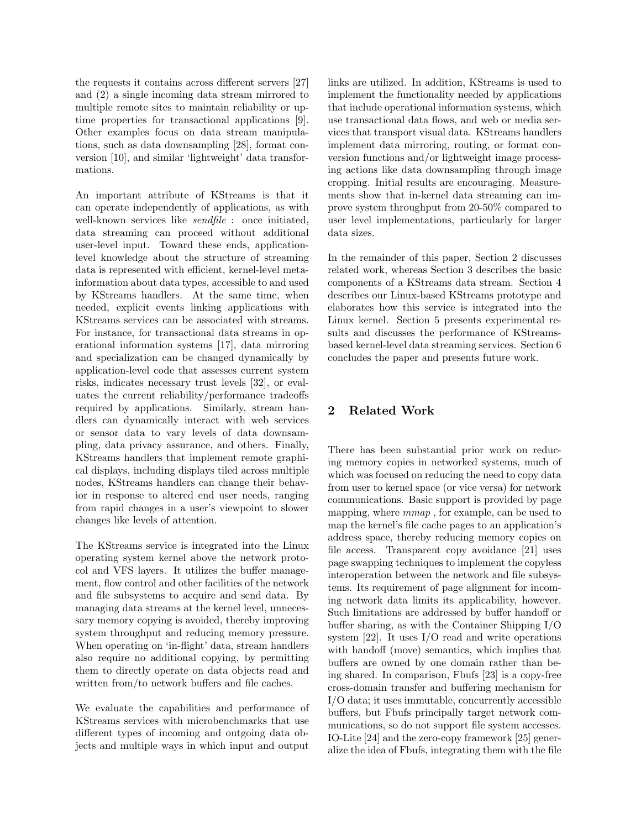the requests it contains across different servers [27] and (2) a single incoming data stream mirrored to multiple remote sites to maintain reliability or uptime properties for transactional applications [9]. Other examples focus on data stream manipulations, such as data downsampling [28], format conversion [10], and similar 'lightweight' data transformations.

An important attribute of KStreams is that it can operate independently of applications, as with well-known services like *sendfile* : once initiated, data streaming can proceed without additional user-level input. Toward these ends, applicationlevel knowledge about the structure of streaming data is represented with efficient, kernel-level metainformation about data types, accessible to and used by KStreams handlers. At the same time, when needed, explicit events linking applications with KStreams services can be associated with streams. For instance, for transactional data streams in operational information systems [17], data mirroring and specialization can be changed dynamically by application-level code that assesses current system risks, indicates necessary trust levels [32], or evaluates the current reliability/performance tradeoffs required by applications. Similarly, stream handlers can dynamically interact with web services or sensor data to vary levels of data downsampling, data privacy assurance, and others. Finally, KStreams handlers that implement remote graphical displays, including displays tiled across multiple nodes, KStreams handlers can change their behavior in response to altered end user needs, ranging from rapid changes in a user's viewpoint to slower changes like levels of attention.

The KStreams service is integrated into the Linux operating system kernel above the network protocol and VFS layers. It utilizes the buffer management, flow control and other facilities of the network and file subsystems to acquire and send data. By managing data streams at the kernel level, unnecessary memory copying is avoided, thereby improving system throughput and reducing memory pressure. When operating on 'in-flight' data, stream handlers also require no additional copying, by permitting them to directly operate on data objects read and written from/to network buffers and file caches.

We evaluate the capabilities and performance of KStreams services with microbenchmarks that use different types of incoming and outgoing data objects and multiple ways in which input and output

links are utilized. In addition, KStreams is used to implement the functionality needed by applications that include operational information systems, which use transactional data flows, and web or media services that transport visual data. KStreams handlers implement data mirroring, routing, or format conversion functions and/or lightweight image processing actions like data downsampling through image cropping. Initial results are encouraging. Measurements show that in-kernel data streaming can improve system throughput from 20-50% compared to user level implementations, particularly for larger data sizes.

In the remainder of this paper, Section 2 discusses related work, whereas Section 3 describes the basic components of a KStreams data stream. Section 4 describes our Linux-based KStreams prototype and elaborates how this service is integrated into the Linux kernel. Section 5 presents experimental results and discusses the performance of KStreamsbased kernel-level data streaming services. Section 6 concludes the paper and presents future work.

## **2 Related Work**

There has been substantial prior work on reducing memory copies in networked systems, much of which was focused on reducing the need to copy data from user to kernel space (or vice versa) for network communications. Basic support is provided by page mapping, where *mmap* , for example, can be used to map the kernel's file cache pages to an application's address space, thereby reducing memory copies on file access. Transparent copy avoidance [21] uses page swapping techniques to implement the copyless interoperation between the network and file subsystems. Its requirement of page alignment for incoming network data limits its applicability, however. Such limitations are addressed by buffer handoff or buffer sharing, as with the Container Shipping I/O system [22]. It uses I/O read and write operations with handoff (move) semantics, which implies that buffers are owned by one domain rather than being shared. In comparison, Fbufs [23] is a copy-free cross-domain transfer and buffering mechanism for I/O data; it uses immutable, concurrently accessible buffers, but Fbufs principally target network communications, so do not support file system accesses. IO-Lite [24] and the zero-copy framework [25] generalize the idea of Fbufs, integrating them with the file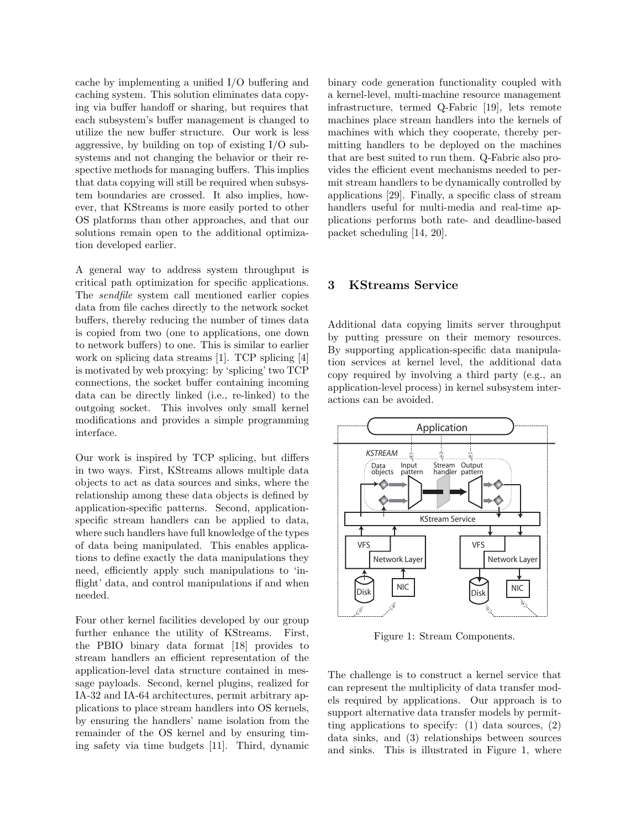cache by implementing a unified I/O buffering and caching system. This solution eliminates data copying via buffer handoff or sharing, but requires that each subsystem's buffer management is changed to utilize the new buffer structure. Our work is less aggressive, by building on top of existing I/O subsystems and not changing the behavior or their respective methods for managing buffers. This implies that data copying will still be required when subsystem boundaries are crossed. It also implies, however, that KStreams is more easily ported to other OS platforms than other approaches, and that our solutions remain open to the additional optimization developed earlier.

A general way to address system throughput is critical path optimization for specific applications. The *sendfile* system call mentioned earlier copies data from file caches directly to the network socket buffers, thereby reducing the number of times data is copied from two (one to applications, one down to network buffers) to one. This is similar to earlier work on splicing data streams [1]. TCP splicing [4] is motivated by web proxying: by 'splicing' two TCP connections, the socket buffer containing incoming data can be directly linked (i.e., re-linked) to the outgoing socket. This involves only small kernel modifications and provides a simple programming interface.

Our work is inspired by TCP splicing, but differs in two ways. First, KStreams allows multiple data objects to act as data sources and sinks, where the relationship among these data objects is defined by application-specific patterns. Second, applicationspecific stream handlers can be applied to data, where such handlers have full knowledge of the types of data being manipulated. This enables applications to define exactly the data manipulations they need, efficiently apply such manipulations to 'inflight' data, and control manipulations if and when needed.

Four other kernel facilities developed by our group further enhance the utility of KStreams. First, the PBIO binary data format [18] provides to stream handlers an efficient representation of the application-level data structure contained in message payloads. Second, kernel plugins, realized for IA-32 and IA-64 architectures, permit arbitrary applications to place stream handlers into OS kernels, by ensuring the handlers' name isolation from the remainder of the OS kernel and by ensuring timing safety via time budgets [11]. Third, dynamic binary code generation functionality coupled with a kernel-level, multi-machine resource management infrastructure, termed Q-Fabric [19], lets remote machines place stream handlers into the kernels of machines with which they cooperate, thereby permitting handlers to be deployed on the machines that are best suited to run them. Q-Fabric also provides the efficient event mechanisms needed to permit stream handlers to be dynamically controlled by applications [29]. Finally, a specific class of stream handlers useful for multi-media and real-time applications performs both rate- and deadline-based packet scheduling [14, 20].

## **3 KStreams Service**

Additional data copying limits server throughput by putting pressure on their memory resources. By supporting application-specific data manipulation services at kernel level, the additional data copy required by involving a third party (e.g., an application-level process) in kernel subsystem interactions can be avoided.



Figure 1: Stream Components.

The challenge is to construct a kernel service that can represent the multiplicity of data transfer models required by applications. Our approach is to support alternative data transfer models by permitting applications to specify: (1) data sources, (2) data sinks, and (3) relationships between sources and sinks. This is illustrated in Figure 1, where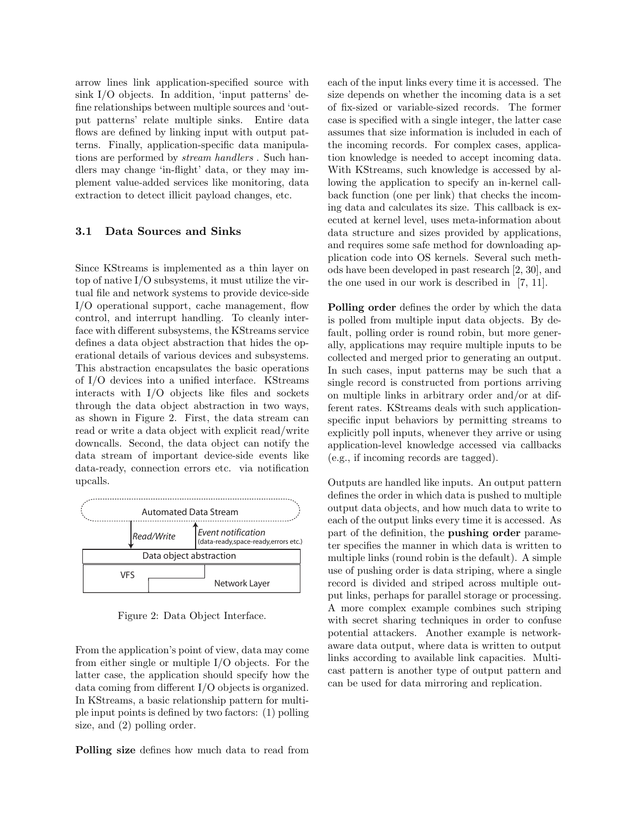arrow lines link application-specified source with sink I/O objects. In addition, 'input patterns' define relationships between multiple sources and 'output patterns' relate multiple sinks. Entire data flows are defined by linking input with output patterns. Finally, application-specific data manipulations are performed by *stream handlers* . Such handlers may change 'in-flight' data, or they may implement value-added services like monitoring, data extraction to detect illicit payload changes, etc.

#### **3.1 Data Sources and Sinks**

Since KStreams is implemented as a thin layer on top of native I/O subsystems, it must utilize the virtual file and network systems to provide device-side I/O operational support, cache management, flow control, and interrupt handling. To cleanly interface with different subsystems, the KStreams service defines a data object abstraction that hides the operational details of various devices and subsystems. This abstraction encapsulates the basic operations of I/O devices into a unified interface. KStreams interacts with I/O objects like files and sockets through the data object abstraction in two ways, as shown in Figure 2. First, the data stream can read or write a data object with explicit read/write downcalls. Second, the data object can notify the data stream of important device-side events like data-ready, connection errors etc. via notification upcalls.



Figure 2: Data Object Interface.

From the application's point of view, data may come from either single or multiple I/O objects. For the latter case, the application should specify how the data coming from different I/O objects is organized. In KStreams, a basic relationship pattern for multiple input points is defined by two factors: (1) polling size, and (2) polling order.

**Polling size** defines how much data to read from

each of the input links every time it is accessed. The size depends on whether the incoming data is a set of fix-sized or variable-sized records. The former case is specified with a single integer, the latter case assumes that size information is included in each of the incoming records. For complex cases, application knowledge is needed to accept incoming data. With KStreams, such knowledge is accessed by allowing the application to specify an in-kernel callback function (one per link) that checks the incoming data and calculates its size. This callback is executed at kernel level, uses meta-information about data structure and sizes provided by applications, and requires some safe method for downloading application code into OS kernels. Several such methods have been developed in past research [2, 30], and the one used in our work is described in [7, 11].

**Polling order** defines the order by which the data is polled from multiple input data objects. By default, polling order is round robin, but more generally, applications may require multiple inputs to be collected and merged prior to generating an output. In such cases, input patterns may be such that a single record is constructed from portions arriving on multiple links in arbitrary order and/or at different rates. KStreams deals with such applicationspecific input behaviors by permitting streams to explicitly poll inputs, whenever they arrive or using application-level knowledge accessed via callbacks (e.g., if incoming records are tagged).

Outputs are handled like inputs. An output pattern defines the order in which data is pushed to multiple output data objects, and how much data to write to each of the output links every time it is accessed. As part of the definition, the **pushing order** parameter specifies the manner in which data is written to multiple links (round robin is the default). A simple use of pushing order is data striping, where a single record is divided and striped across multiple output links, perhaps for parallel storage or processing. A more complex example combines such striping with secret sharing techniques in order to confuse potential attackers. Another example is networkaware data output, where data is written to output links according to available link capacities. Multicast pattern is another type of output pattern and can be used for data mirroring and replication.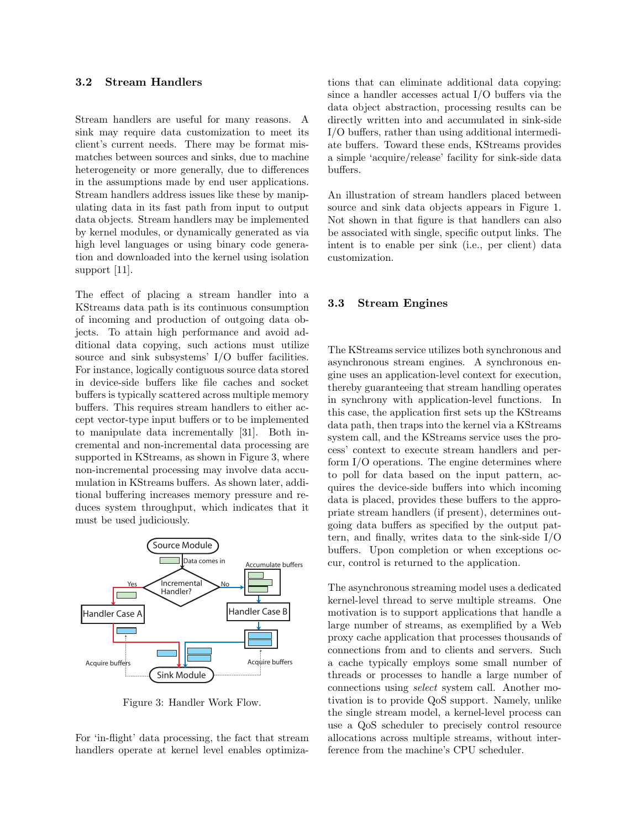### **3.2 Stream Handlers**

Stream handlers are useful for many reasons. A sink may require data customization to meet its client's current needs. There may be format mismatches between sources and sinks, due to machine heterogeneity or more generally, due to differences in the assumptions made by end user applications. Stream handlers address issues like these by manipulating data in its fast path from input to output data objects. Stream handlers may be implemented by kernel modules, or dynamically generated as via high level languages or using binary code generation and downloaded into the kernel using isolation support [11].

The effect of placing a stream handler into a KStreams data path is its continuous consumption of incoming and production of outgoing data objects. To attain high performance and avoid additional data copying, such actions must utilize source and sink subsystems' I/O buffer facilities. For instance, logically contiguous source data stored in device-side buffers like file caches and socket buffers is typically scattered across multiple memory buffers. This requires stream handlers to either accept vector-type input buffers or to be implemented to manipulate data incrementally [31]. Both incremental and non-incremental data processing are supported in KStreams, as shown in Figure 3, where non-incremental processing may involve data accumulation in KStreams buffers. As shown later, additional buffering increases memory pressure and reduces system throughput, which indicates that it must be used judiciously.



Figure 3: Handler Work Flow.

For 'in-flight' data processing, the fact that stream handlers operate at kernel level enables optimizations that can eliminate additional data copying: since a handler accesses actual I/O buffers via the data object abstraction, processing results can be directly written into and accumulated in sink-side I/O buffers, rather than using additional intermediate buffers. Toward these ends, KStreams provides a simple 'acquire/release' facility for sink-side data buffers.

An illustration of stream handlers placed between source and sink data objects appears in Figure 1. Not shown in that figure is that handlers can also be associated with single, specific output links. The intent is to enable per sink (i.e., per client) data customization.

### **3.3 Stream Engines**

The KStreams service utilizes both synchronous and asynchronous stream engines. A synchronous engine uses an application-level context for execution, thereby guaranteeing that stream handling operates in synchrony with application-level functions. In this case, the application first sets up the KStreams data path, then traps into the kernel via a KStreams system call, and the KStreams service uses the process' context to execute stream handlers and perform I/O operations. The engine determines where to poll for data based on the input pattern, acquires the device-side buffers into which incoming data is placed, provides these buffers to the appropriate stream handlers (if present), determines outgoing data buffers as specified by the output pattern, and finally, writes data to the sink-side I/O buffers. Upon completion or when exceptions occur, control is returned to the application.

The asynchronous streaming model uses a dedicated kernel-level thread to serve multiple streams. One motivation is to support applications that handle a large number of streams, as exemplified by a Web proxy cache application that processes thousands of connections from and to clients and servers. Such a cache typically employs some small number of threads or processes to handle a large number of connections using *select* system call. Another motivation is to provide QoS support. Namely, unlike the single stream model, a kernel-level process can use a QoS scheduler to precisely control resource allocations across multiple streams, without interference from the machine's CPU scheduler.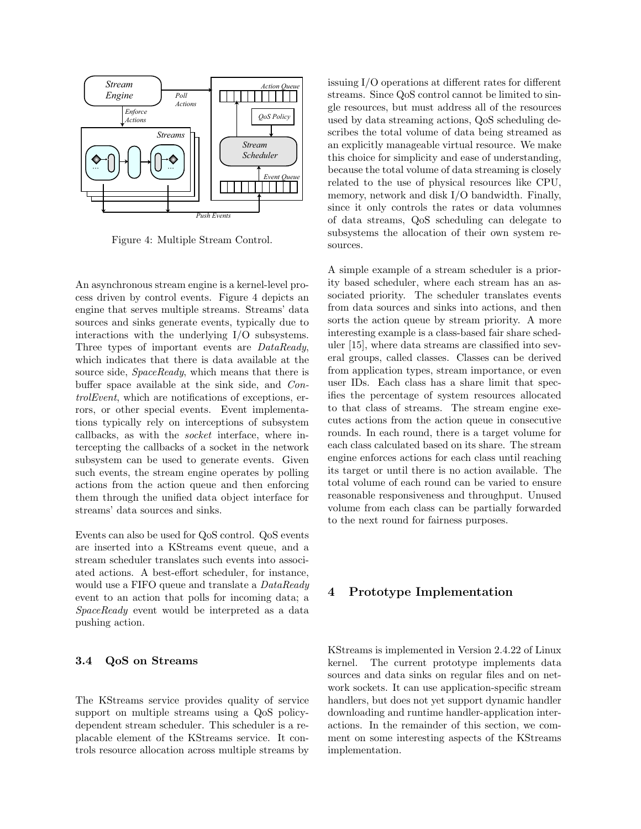

Figure 4: Multiple Stream Control.

An asynchronous stream engine is a kernel-level process driven by control events. Figure 4 depicts an engine that serves multiple streams. Streams' data sources and sinks generate events, typically due to interactions with the underlying I/O subsystems. Three types of important events are *DataReady*, which indicates that there is data available at the source side, *SpaceReady*, which means that there is buffer space available at the sink side, and *ControlEvent*, which are notifications of exceptions, errors, or other special events. Event implementations typically rely on interceptions of subsystem callbacks, as with the *socket* interface, where intercepting the callbacks of a socket in the network subsystem can be used to generate events. Given such events, the stream engine operates by polling actions from the action queue and then enforcing them through the unified data object interface for streams' data sources and sinks.

Events can also be used for QoS control. QoS events are inserted into a KStreams event queue, and a stream scheduler translates such events into associated actions. A best-effort scheduler, for instance, would use a FIFO queue and translate a *DataReady* event to an action that polls for incoming data; a *SpaceReady* event would be interpreted as a data pushing action.

## **3.4 QoS on Streams**

The KStreams service provides quality of service support on multiple streams using a QoS policydependent stream scheduler. This scheduler is a replacable element of the KStreams service. It controls resource allocation across multiple streams by

issuing I/O operations at different rates for different streams. Since QoS control cannot be limited to single resources, but must address all of the resources used by data streaming actions, QoS scheduling describes the total volume of data being streamed as an explicitly manageable virtual resource. We make this choice for simplicity and ease of understanding, because the total volume of data streaming is closely related to the use of physical resources like CPU, memory, network and disk I/O bandwidth. Finally, since it only controls the rates or data volumnes of data streams, QoS scheduling can delegate to subsystems the allocation of their own system resources.

A simple example of a stream scheduler is a priority based scheduler, where each stream has an associated priority. The scheduler translates events from data sources and sinks into actions, and then sorts the action queue by stream priority. A more interesting example is a class-based fair share scheduler [15], where data streams are classified into several groups, called classes. Classes can be derived from application types, stream importance, or even user IDs. Each class has a share limit that specifies the percentage of system resources allocated to that class of streams. The stream engine executes actions from the action queue in consecutive rounds. In each round, there is a target volume for each class calculated based on its share. The stream engine enforces actions for each class until reaching its target or until there is no action available. The total volume of each round can be varied to ensure reasonable responsiveness and throughput. Unused volume from each class can be partially forwarded to the next round for fairness purposes.

# **4 Prototype Implementation**

KStreams is implemented in Version 2.4.22 of Linux kernel. The current prototype implements data sources and data sinks on regular files and on network sockets. It can use application-specific stream handlers, but does not yet support dynamic handler downloading and runtime handler-application interactions. In the remainder of this section, we comment on some interesting aspects of the KStreams implementation.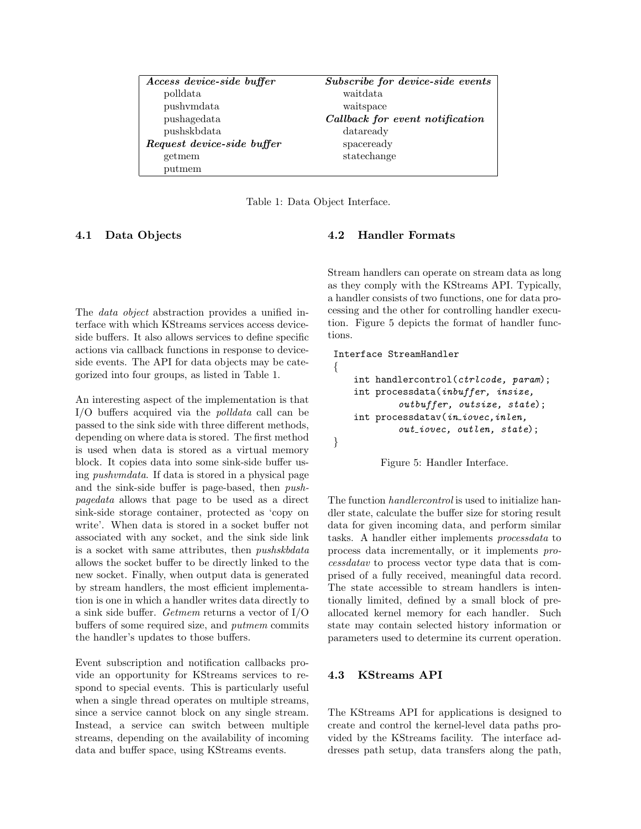| Access device-side buffer  | Subscribe for device-side events |  |
|----------------------------|----------------------------------|--|
| polldata                   | waitdata                         |  |
| pushymdata                 | waitspace                        |  |
| pushagedata                | Callback for event notification  |  |
| pushskbdata                | dataready                        |  |
| Request device-side buffer | spaceready                       |  |
| getmem                     | statechange                      |  |
| putmem                     |                                  |  |

Table 1: Data Object Interface.

## **4.1 Data Objects**

The *data object* abstraction provides a unified interface with which KStreams services access deviceside buffers. It also allows services to define specific actions via callback functions in response to deviceside events. The API for data objects may be categorized into four groups, as listed in Table 1.

An interesting aspect of the implementation is that I/O buffers acquired via the *polldata* call can be passed to the sink side with three different methods, depending on where data is stored. The first method is used when data is stored as a virtual memory block. It copies data into some sink-side buffer using *pushvmdata*. If data is stored in a physical page and the sink-side buffer is page-based, then *pushpagedata* allows that page to be used as a direct sink-side storage container, protected as 'copy on write'. When data is stored in a socket buffer not associated with any socket, and the sink side link is a socket with same attributes, then *pushskbdata* allows the socket buffer to be directly linked to the new socket. Finally, when output data is generated by stream handlers, the most efficient implementation is one in which a handler writes data directly to a sink side buffer. *Getmem* returns a vector of I/O buffers of some required size, and *putmem* commits the handler's updates to those buffers.

Event subscription and notification callbacks provide an opportunity for KStreams services to respond to special events. This is particularly useful when a single thread operates on multiple streams, since a service cannot block on any single stream. Instead, a service can switch between multiple streams, depending on the availability of incoming data and buffer space, using KStreams events.

#### **4.2 Handler Formats**

Stream handlers can operate on stream data as long as they comply with the KStreams API. Typically, a handler consists of two functions, one for data processing and the other for controlling handler execution. Figure 5 depicts the format of handler functions.

```
Interface StreamHandler
{
   int handlercontrol(ctrlcode, param);
   int processdata(inbuffer, insize,
            outbuffer, outsize, state);
    int processdatav(in iovec,inlen,
            out iovec, outlen, state);
}
```


The function *handlercontrol* is used to initialize handler state, calculate the buffer size for storing result data for given incoming data, and perform similar tasks. A handler either implements *processdata* to process data incrementally, or it implements *processdatav* to process vector type data that is comprised of a fully received, meaningful data record. The state accessible to stream handlers is intentionally limited, defined by a small block of preallocated kernel memory for each handler. Such state may contain selected history information or parameters used to determine its current operation.

## **4.3 KStreams API**

The KStreams API for applications is designed to create and control the kernel-level data paths provided by the KStreams facility. The interface addresses path setup, data transfers along the path,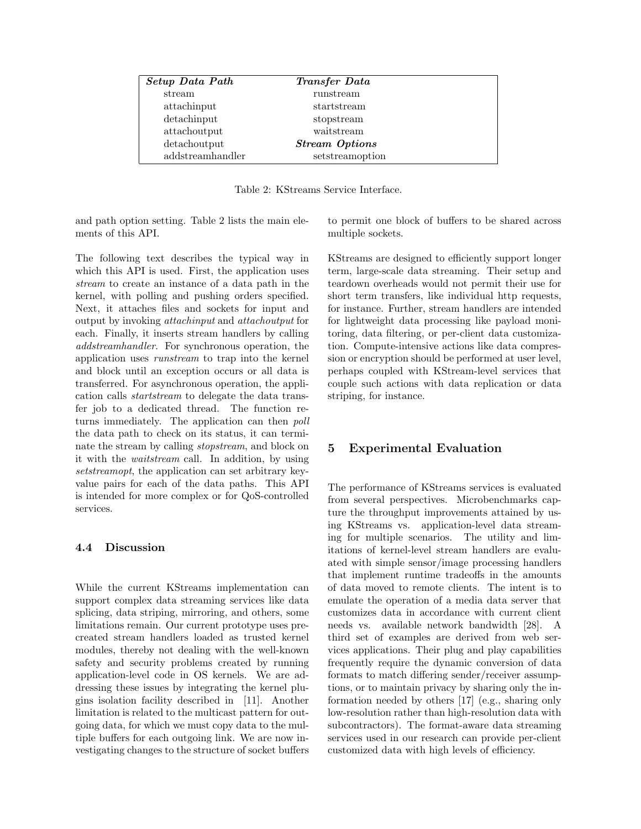| Setup Data Path  | <i>Transfer Data</i>  |  |
|------------------|-----------------------|--|
| stream           | runstream             |  |
| attachinput      | startstream           |  |
| $d$ etachinput   | stopstream            |  |
| attachoutput     | waitstream            |  |
| detachoutput     | <b>Stream Options</b> |  |
| addstreamhandler | setstreamoption       |  |

Table 2: KStreams Service Interface.

and path option setting. Table 2 lists the main elements of this API.

The following text describes the typical way in which this API is used. First, the application uses *stream* to create an instance of a data path in the kernel, with polling and pushing orders specified. Next, it attaches files and sockets for input and output by invoking *attachinput* and *attachoutput* for each. Finally, it inserts stream handlers by calling *addstreamhandler*. For synchronous operation, the application uses *runstream* to trap into the kernel and block until an exception occurs or all data is transferred. For asynchronous operation, the application calls *startstream* to delegate the data transfer job to a dedicated thread. The function returns immediately. The application can then *poll* the data path to check on its status, it can terminate the stream by calling *stopstream*, and block on it with the *waitstream* call. In addition, by using *setstreamopt*, the application can set arbitrary keyvalue pairs for each of the data paths. This API is intended for more complex or for QoS-controlled services.

## **4.4 Discussion**

While the current KStreams implementation can support complex data streaming services like data splicing, data striping, mirroring, and others, some limitations remain. Our current prototype uses precreated stream handlers loaded as trusted kernel modules, thereby not dealing with the well-known safety and security problems created by running application-level code in OS kernels. We are addressing these issues by integrating the kernel plugins isolation facility described in [11]. Another limitation is related to the multicast pattern for outgoing data, for which we must copy data to the multiple buffers for each outgoing link. We are now investigating changes to the structure of socket buffers to permit one block of buffers to be shared across multiple sockets.

KStreams are designed to efficiently support longer term, large-scale data streaming. Their setup and teardown overheads would not permit their use for short term transfers, like individual http requests, for instance. Further, stream handlers are intended for lightweight data processing like payload monitoring, data filtering, or per-client data customization. Compute-intensive actions like data compression or encryption should be performed at user level, perhaps coupled with KStream-level services that couple such actions with data replication or data striping, for instance.

## **5 Experimental Evaluation**

The performance of KStreams services is evaluated from several perspectives. Microbenchmarks capture the throughput improvements attained by using KStreams vs. application-level data streaming for multiple scenarios. The utility and limitations of kernel-level stream handlers are evaluated with simple sensor/image processing handlers that implement runtime tradeoffs in the amounts of data moved to remote clients. The intent is to emulate the operation of a media data server that customizes data in accordance with current client needs vs. available network bandwidth [28]. A third set of examples are derived from web services applications. Their plug and play capabilities frequently require the dynamic conversion of data formats to match differing sender/receiver assumptions, or to maintain privacy by sharing only the information needed by others [17] (e.g., sharing only low-resolution rather than high-resolution data with subcontractors). The format-aware data streaming services used in our research can provide per-client customized data with high levels of efficiency.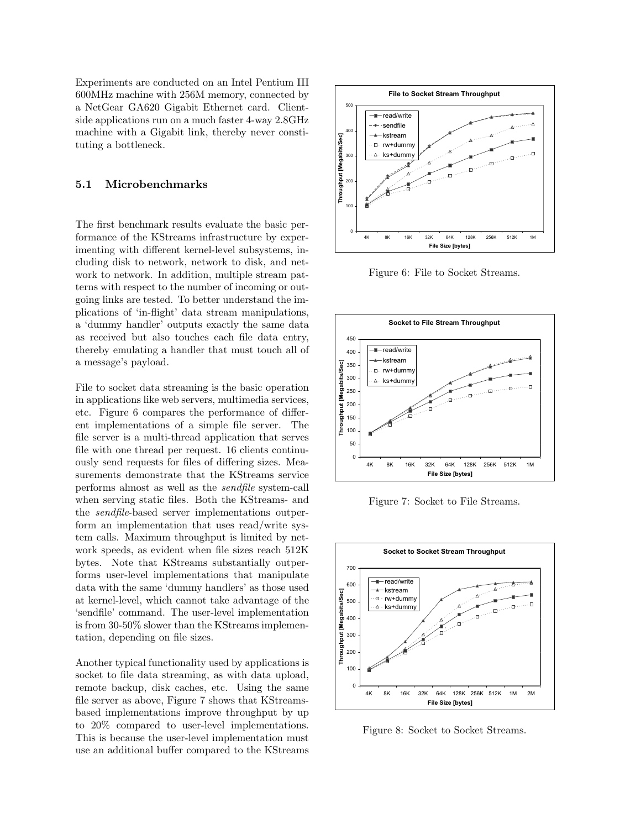Experiments are conducted on an Intel Pentium III 600MHz machine with 256M memory, connected by a NetGear GA620 Gigabit Ethernet card. Clientside applications run on a much faster 4-way 2.8GHz machine with a Gigabit link, thereby never constituting a bottleneck.

#### **5.1 Microbenchmarks**

The first benchmark results evaluate the basic performance of the KStreams infrastructure by experimenting with different kernel-level subsystems, including disk to network, network to disk, and network to network. In addition, multiple stream patterns with respect to the number of incoming or outgoing links are tested. To better understand the implications of 'in-flight' data stream manipulations, a 'dummy handler' outputs exactly the same data as received but also touches each file data entry, thereby emulating a handler that must touch all of a message's payload.

File to socket data streaming is the basic operation in applications like web servers, multimedia services, etc. Figure 6 compares the performance of different implementations of a simple file server. The file server is a multi-thread application that serves file with one thread per request. 16 clients continuously send requests for files of differing sizes. Measurements demonstrate that the KStreams service performs almost as well as the *sendfile* system-call when serving static files. Both the KStreams- and the *sendfile*-based server implementations outperform an implementation that uses read/write system calls. Maximum throughput is limited by network speeds, as evident when file sizes reach 512K bytes. Note that KStreams substantially outperforms user-level implementations that manipulate data with the same 'dummy handlers' as those used at kernel-level, which cannot take advantage of the 'sendfile' command. The user-level implementation is from 30-50% slower than the KStreams implementation, depending on file sizes.

Another typical functionality used by applications is socket to file data streaming, as with data upload, remote backup, disk caches, etc. Using the same file server as above, Figure 7 shows that KStreamsbased implementations improve throughput by up to 20% compared to user-level implementations. This is because the user-level implementation must use an additional buffer compared to the KStreams



Figure 6: File to Socket Streams.



Figure 7: Socket to File Streams.



Figure 8: Socket to Socket Streams.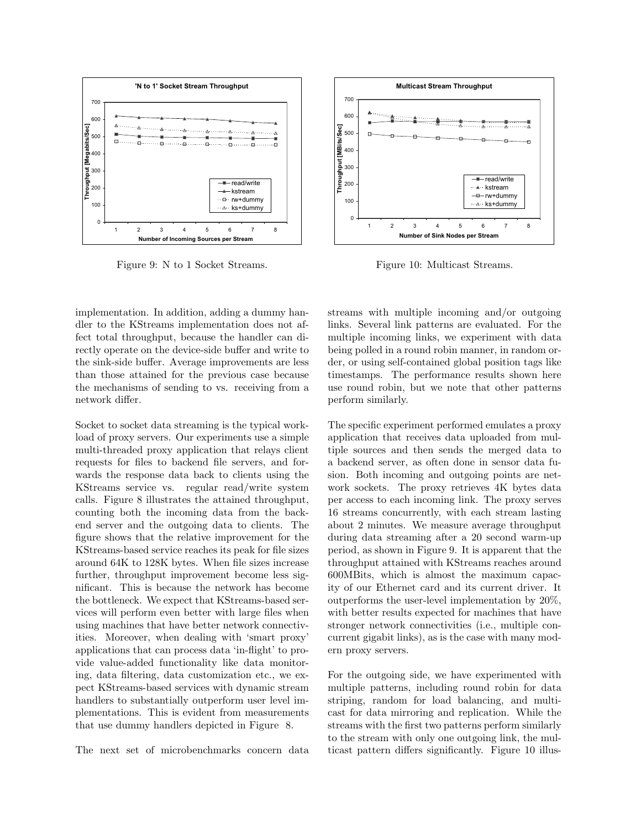

Figure 9: N to 1 Socket Streams.



Figure 10: Multicast Streams.

implementation. In addition, adding a dummy handler to the KStreams implementation does not affect total throughput, because the handler can directly operate on the device-side buffer and write to the sink-side buffer. Average improvements are less than those attained for the previous case because the mechanisms of sending to vs. receiving from a network differ.

Socket to socket data streaming is the typical workload of proxy servers. Our experiments use a simple multi-threaded proxy application that relays client requests for files to backend file servers, and forwards the response data back to clients using the KStreams service vs. regular read/write system calls. Figure 8 illustrates the attained throughput, counting both the incoming data from the backend server and the outgoing data to clients. The figure shows that the relative improvement for the KStreams-based service reaches its peak for file sizes around 64K to 128K bytes. When file sizes increase further, throughput improvement become less significant. This is because the network has become the bottleneck. We expect that KStreams-based services will perform even better with large files when using machines that have better network connectivities. Moreover, when dealing with 'smart proxy' applications that can process data 'in-flight' to provide value-added functionality like data monitoring, data filtering, data customization etc., we expect KStreams-based services with dynamic stream handlers to substantially outperform user level implementations. This is evident from measurements that use dummy handlers depicted in Figure 8.

The next set of microbenchmarks concern data

streams with multiple incoming and/or outgoing links. Several link patterns are evaluated. For the multiple incoming links, we experiment with data being polled in a round robin manner, in random order, or using self-contained global position tags like timestamps. The performance results shown here use round robin, but we note that other patterns perform similarly.

The specific experiment performed emulates a proxy application that receives data uploaded from multiple sources and then sends the merged data to a backend server, as often done in sensor data fusion. Both incoming and outgoing points are network sockets. The proxy retrieves 4K bytes data per access to each incoming link. The proxy serves 16 streams concurrently, with each stream lasting about 2 minutes. We measure average throughput during data streaming after a 20 second warm-up period, as shown in Figure 9. It is apparent that the throughput attained with KStreams reaches around 600MBits, which is almost the maximum capacity of our Ethernet card and its current driver. It outperforms the user-level implementation by 20%, with better results expected for machines that have stronger network connectivities (i.e., multiple concurrent gigabit links), as is the case with many modern proxy servers.

For the outgoing side, we have experimented with multiple patterns, including round robin for data striping, random for load balancing, and multicast for data mirroring and replication. While the streams with the first two patterns perform similarly to the stream with only one outgoing link, the multicast pattern differs significantly. Figure 10 illus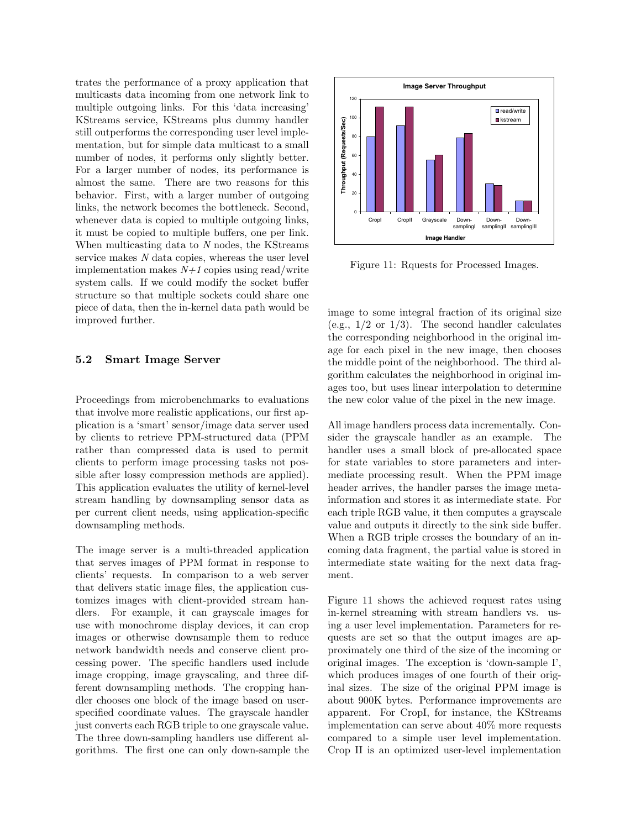trates the performance of a proxy application that multicasts data incoming from one network link to multiple outgoing links. For this 'data increasing' KStreams service, KStreams plus dummy handler still outperforms the corresponding user level implementation, but for simple data multicast to a small number of nodes, it performs only slightly better. For a larger number of nodes, its performance is almost the same. There are two reasons for this behavior. First, with a larger number of outgoing links, the network becomes the bottleneck. Second, whenever data is copied to multiple outgoing links, it must be copied to multiple buffers, one per link. When multicasting data to *N* nodes, the KStreams service makes *N* data copies, whereas the user level implementation makes  $N+1$  copies using read/write system calls. If we could modify the socket buffer structure so that multiple sockets could share one piece of data, then the in-kernel data path would be improved further.

#### **5.2 Smart Image Server**

Proceedings from microbenchmarks to evaluations that involve more realistic applications, our first application is a 'smart' sensor/image data server used by clients to retrieve PPM-structured data (PPM rather than compressed data is used to permit clients to perform image processing tasks not possible after lossy compression methods are applied). This application evaluates the utility of kernel-level stream handling by downsampling sensor data as per current client needs, using application-specific downsampling methods.

The image server is a multi-threaded application that serves images of PPM format in response to clients' requests. In comparison to a web server that delivers static image files, the application customizes images with client-provided stream handlers. For example, it can grayscale images for use with monochrome display devices, it can crop images or otherwise downsample them to reduce network bandwidth needs and conserve client processing power. The specific handlers used include image cropping, image grayscaling, and three different downsampling methods. The cropping handler chooses one block of the image based on userspecified coordinate values. The grayscale handler just converts each RGB triple to one grayscale value. The three down-sampling handlers use different algorithms. The first one can only down-sample the



Figure 11: Rquests for Processed Images.

image to some integral fraction of its original size (e.g.,  $1/2$  or  $1/3$ ). The second handler calculates the corresponding neighborhood in the original image for each pixel in the new image, then chooses the middle point of the neighborhood. The third algorithm calculates the neighborhood in original images too, but uses linear interpolation to determine the new color value of the pixel in the new image.

All image handlers process data incrementally. Consider the grayscale handler as an example. The handler uses a small block of pre-allocated space for state variables to store parameters and intermediate processing result. When the PPM image header arrives, the handler parses the image metainformation and stores it as intermediate state. For each triple RGB value, it then computes a grayscale value and outputs it directly to the sink side buffer. When a RGB triple crosses the boundary of an incoming data fragment, the partial value is stored in intermediate state waiting for the next data fragment.

Figure 11 shows the achieved request rates using in-kernel streaming with stream handlers vs. using a user level implementation. Parameters for requests are set so that the output images are approximately one third of the size of the incoming or original images. The exception is 'down-sample I', which produces images of one fourth of their original sizes. The size of the original PPM image is about 900K bytes. Performance improvements are apparent. For CropI, for instance, the KStreams implementation can serve about 40% more requests compared to a simple user level implementation. Crop II is an optimized user-level implementation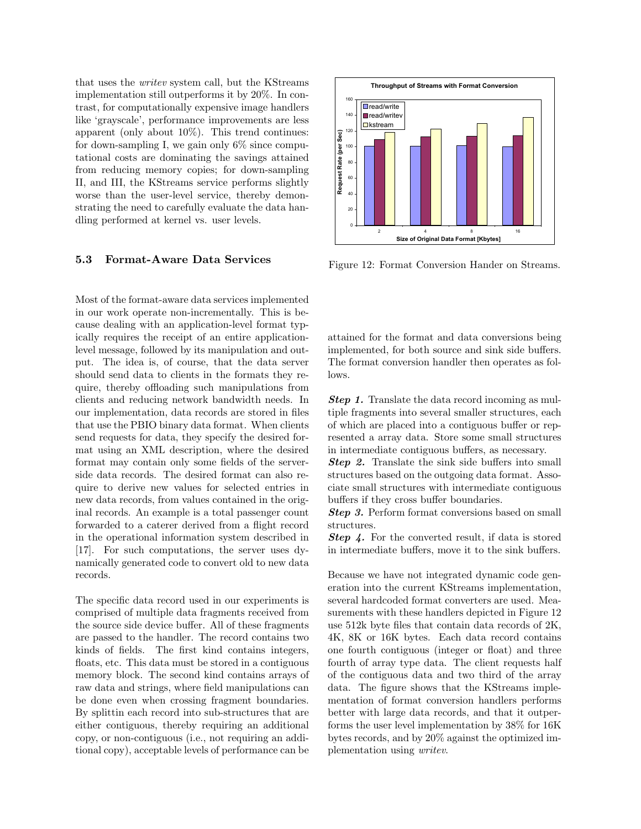that uses the *writev* system call, but the KStreams implementation still outperforms it by 20%. In contrast, for computationally expensive image handlers like 'grayscale', performance improvements are less apparent (only about 10%). This trend continues: for down-sampling I, we gain only  $6\%$  since computational costs are dominating the savings attained from reducing memory copies; for down-sampling II, and III, the KStreams service performs slightly worse than the user-level service, thereby demonstrating the need to carefully evaluate the data handling performed at kernel vs. user levels.

#### **5.3 Format-Aware Data Services**

Most of the format-aware data services implemented in our work operate non-incrementally. This is because dealing with an application-level format typically requires the receipt of an entire applicationlevel message, followed by its manipulation and output. The idea is, of course, that the data server should send data to clients in the formats they require, thereby offloading such manipulations from clients and reducing network bandwidth needs. In our implementation, data records are stored in files that use the PBIO binary data format. When clients send requests for data, they specify the desired format using an XML description, where the desired format may contain only some fields of the serverside data records. The desired format can also require to derive new values for selected entries in new data records, from values contained in the original records. An example is a total passenger count forwarded to a caterer derived from a flight record in the operational information system described in [17]. For such computations, the server uses dynamically generated code to convert old to new data records.

The specific data record used in our experiments is comprised of multiple data fragments received from the source side device buffer. All of these fragments are passed to the handler. The record contains two kinds of fields. The first kind contains integers, floats, etc. This data must be stored in a contiguous memory block. The second kind contains arrays of raw data and strings, where field manipulations can be done even when crossing fragment boundaries. By splittin each record into sub-structures that are either contiguous, thereby requiring an additional copy, or non-contiguous (i.e., not requiring an additional copy), acceptable levels of performance can be



Figure 12: Format Conversion Hander on Streams.

attained for the format and data conversions being implemented, for both source and sink side buffers. The format conversion handler then operates as follows.

*Step 1.* Translate the data record incoming as multiple fragments into several smaller structures, each of which are placed into a contiguous buffer or represented a array data. Store some small structures in intermediate contiguous buffers, as necessary.

*Step 2.* Translate the sink side buffers into small structures based on the outgoing data format. Associate small structures with intermediate contiguous buffers if they cross buffer boundaries.

*Step 3.* Perform format conversions based on small structures.

*Step 4.* For the converted result, if data is stored in intermediate buffers, move it to the sink buffers.

Because we have not integrated dynamic code generation into the current KStreams implementation, several hardcoded format converters are used. Measurements with these handlers depicted in Figure 12 use 512k byte files that contain data records of 2K, 4K, 8K or 16K bytes. Each data record contains one fourth contiguous (integer or float) and three fourth of array type data. The client requests half of the contiguous data and two third of the array data. The figure shows that the KStreams implementation of format conversion handlers performs better with large data records, and that it outperforms the user level implementation by 38% for 16K bytes records, and by 20% against the optimized implementation using *writev*.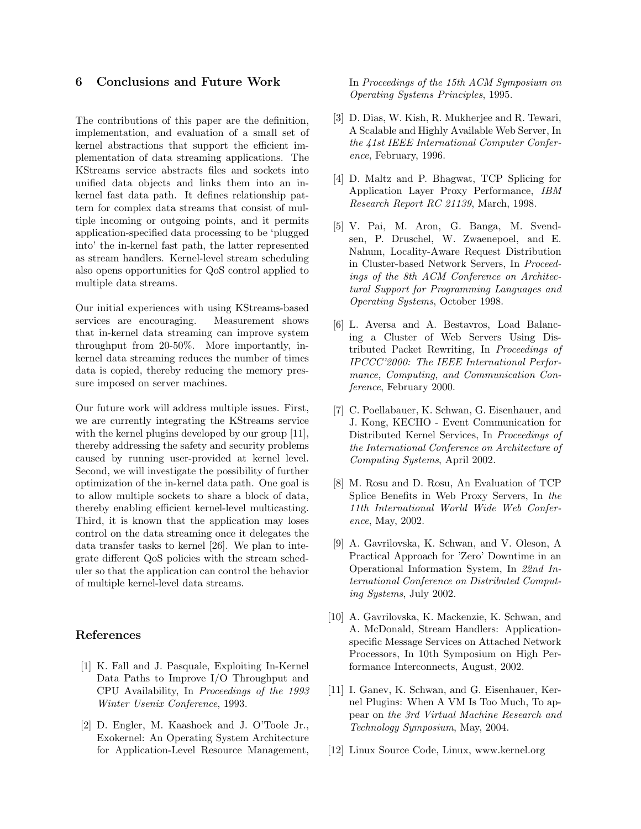## **6 Conclusions and Future Work**

The contributions of this paper are the definition, implementation, and evaluation of a small set of kernel abstractions that support the efficient implementation of data streaming applications. The KStreams service abstracts files and sockets into unified data objects and links them into an inkernel fast data path. It defines relationship pattern for complex data streams that consist of multiple incoming or outgoing points, and it permits application-specified data processing to be 'plugged into' the in-kernel fast path, the latter represented as stream handlers. Kernel-level stream scheduling also opens opportunities for QoS control applied to multiple data streams.

Our initial experiences with using KStreams-based services are encouraging. Measurement shows that in-kernel data streaming can improve system throughput from 20-50%. More importantly, inkernel data streaming reduces the number of times data is copied, thereby reducing the memory pressure imposed on server machines.

Our future work will address multiple issues. First, we are currently integrating the KStreams service with the kernel plugins developed by our group [11], thereby addressing the safety and security problems caused by running user-provided at kernel level. Second, we will investigate the possibility of further optimization of the in-kernel data path. One goal is to allow multiple sockets to share a block of data, thereby enabling efficient kernel-level multicasting. Third, it is known that the application may loses control on the data streaming once it delegates the data transfer tasks to kernel [26]. We plan to integrate different QoS policies with the stream scheduler so that the application can control the behavior of multiple kernel-level data streams.

## **References**

- [1] K. Fall and J. Pasquale, Exploiting In-Kernel Data Paths to Improve I/O Throughput and CPU Availability, In *Proceedings of the 1993 Winter Usenix Conference*, 1993.
- [2] D. Engler, M. Kaashoek and J. O'Toole Jr., Exokernel: An Operating System Architecture for Application-Level Resource Management,

In *Proceedings of the 15th ACM Symposium on Operating Systems Principles*, 1995.

- [3] D. Dias, W. Kish, R. Mukherjee and R. Tewari, A Scalable and Highly Available Web Server, In *the 41st IEEE International Computer Conference*, February, 1996.
- [4] D. Maltz and P. Bhagwat, TCP Splicing for Application Layer Proxy Performance, *IBM Research Report RC 21139*, March, 1998.
- [5] V. Pai, M. Aron, G. Banga, M. Svendsen, P. Druschel, W. Zwaenepoel, and E. Nahum, Locality-Aware Request Distribution in Cluster-based Network Servers, In *Proceedings of the 8th ACM Conference on Architectural Support for Programming Languages and Operating Systems*, October 1998.
- [6] L. Aversa and A. Bestavros, Load Balancing a Cluster of Web Servers Using Distributed Packet Rewriting, In *Proceedings of IPCCC'2000: The IEEE International Performance, Computing, and Communication Conference*, February 2000.
- [7] C. Poellabauer, K. Schwan, G. Eisenhauer, and J. Kong, KECHO - Event Communication for Distributed Kernel Services, In *Proceedings of the International Conference on Architecture of Computing Systems*, April 2002.
- [8] M. Rosu and D. Rosu, An Evaluation of TCP Splice Benefits in Web Proxy Servers, In *the 11th International World Wide Web Conference*, May, 2002.
- [9] A. Gavrilovska, K. Schwan, and V. Oleson, A Practical Approach for 'Zero' Downtime in an Operational Information System, In *22nd International Conference on Distributed Computing Systems*, July 2002.
- [10] A. Gavrilovska, K. Mackenzie, K. Schwan, and A. McDonald, Stream Handlers: Applicationspecific Message Services on Attached Network Processors, In 10th Symposium on High Performance Interconnects, August, 2002.
- [11] I. Ganev, K. Schwan, and G. Eisenhauer, Kernel Plugins: When A VM Is Too Much, To appear on *the 3rd Virtual Machine Research and Technology Symposium*, May, 2004.
- [12] Linux Source Code, Linux, www.kernel.org